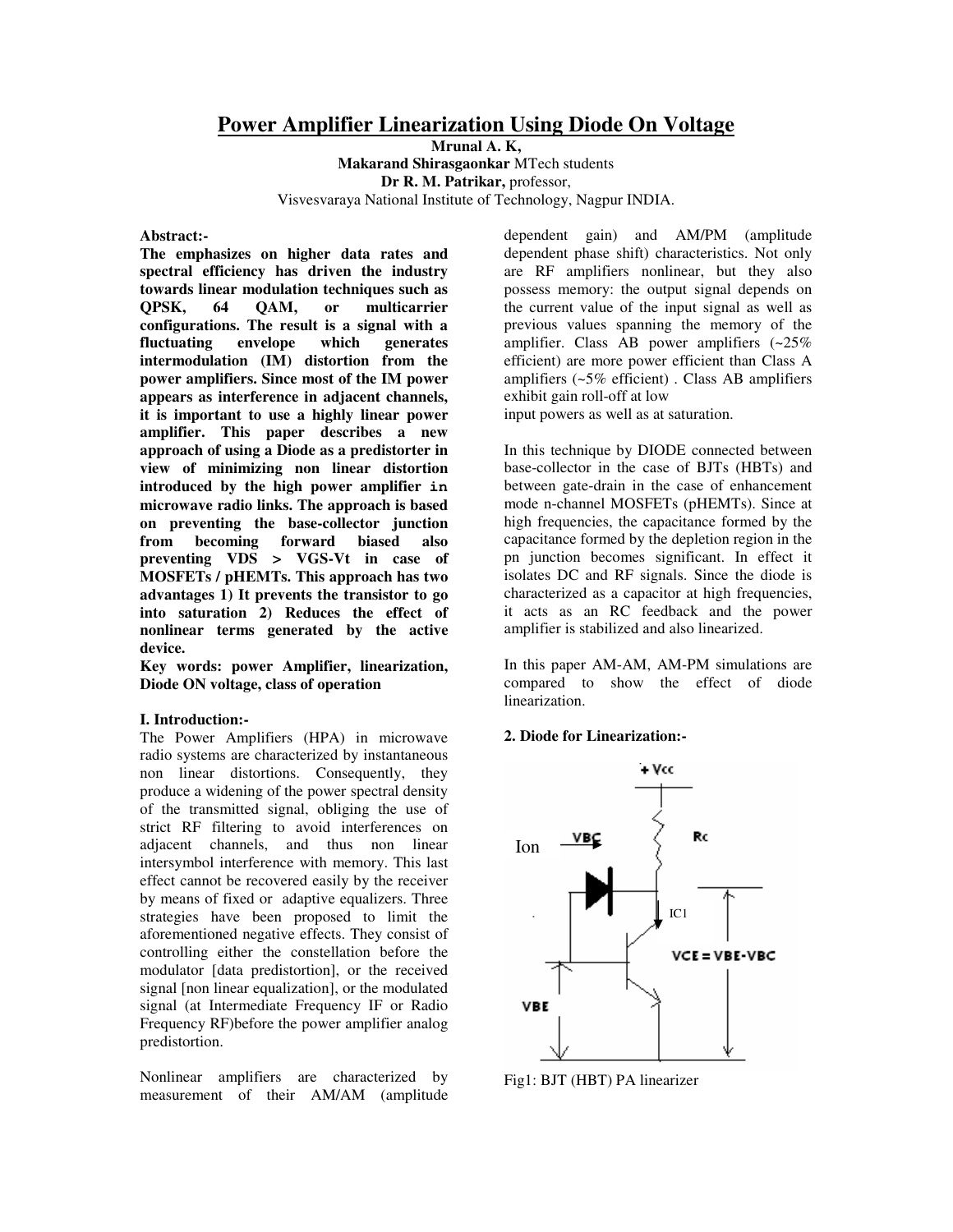# **Power Amplifier Linearization Using Diode On Voltage**

**Mrunal A. K, Makarand Shirasgaonkar** MTech students **Dr R. M. Patrikar,** professor, Visvesvaraya National Institute of Technology, Nagpur INDIA.

## **Abstract:-**

**The emphasizes on higher data rates and spectral efficiency has driven the industry towards linear modulation techniques such as QPSK, 64 QAM, or multicarrier configurations. The result is a signal with a fluctuating envelope which generates intermodulation (IM) distortion from the power amplifiers. Since most of the IM power appears as interference in adjacent channels, it is important to use a highly linear power amplifier. This paper describes a new approach of using a Diode as a predistorter in view of minimizing non linear distortion introduced by the high power amplifier in microwave radio links. The approach is based on preventing the base-collector junction from becoming forward biased also preventing VDS > VGS-Vt in case of MOSFETs / pHEMTs. This approach has two advantages 1) It prevents the transistor to go into saturation 2) Reduces the effect of nonlinear terms generated by the active device.**

**Key words: power Amplifier, linearization, Diode ON voltage, class of operation**

# **I. Introduction:-**

The Power Amplifiers (HPA) in microwave radio systems are characterized by instantaneous non linear distortions. Consequently, they produce a widening of the power spectral density of the transmitted signal, obliging the use of strict RF filtering to avoid interferences on adjacent channels, and thus non linear intersymbol interference with memory. This last effect cannot be recovered easily by the receiver by means of fixed or adaptive equalizers. Three strategies have been proposed to limit the aforementioned negative effects. They consist of controlling either the constellation before the modulator [data predistortion], or the received signal [non linear equalization], or the modulated signal (at Intermediate Frequency IF or Radio Frequency RF)before the power amplifier analog predistortion.

Nonlinear amplifiers are characterized by measurement of their AM/AM (amplitude

dependent gain) and AM/PM (amplitude dependent phase shift) characteristics. Not only are RF amplifiers nonlinear, but they also possess memory: the output signal depends on the current value of the input signal as well as previous values spanning the memory of the amplifier. Class AB power amplifiers (~25% efficient) are more power efficient than Class A amplifiers (~5% efficient) . Class AB amplifiers exhibit gain roll-off at low input powers as well as at saturation.

In this technique by DIODE connected between base-collector in the case of BJTs (HBTs) and between gate-drain in the case of enhancement mode n-channel MOSFETs (pHEMTs). Since at high frequencies, the capacitance formed by the capacitance formed by the depletion region in the pn junction becomes significant. In effect it isolates DC and RF signals. Since the diode is characterized as a capacitor at high frequencies, it acts as an RC feedback and the power amplifier is stabilized and also linearized.

In this paper AM-AM, AM-PM simulations are compared to show the effect of diode linearization.

# **2. Diode for Linearization:-**



Fig1: BJT (HBT) PA linearizer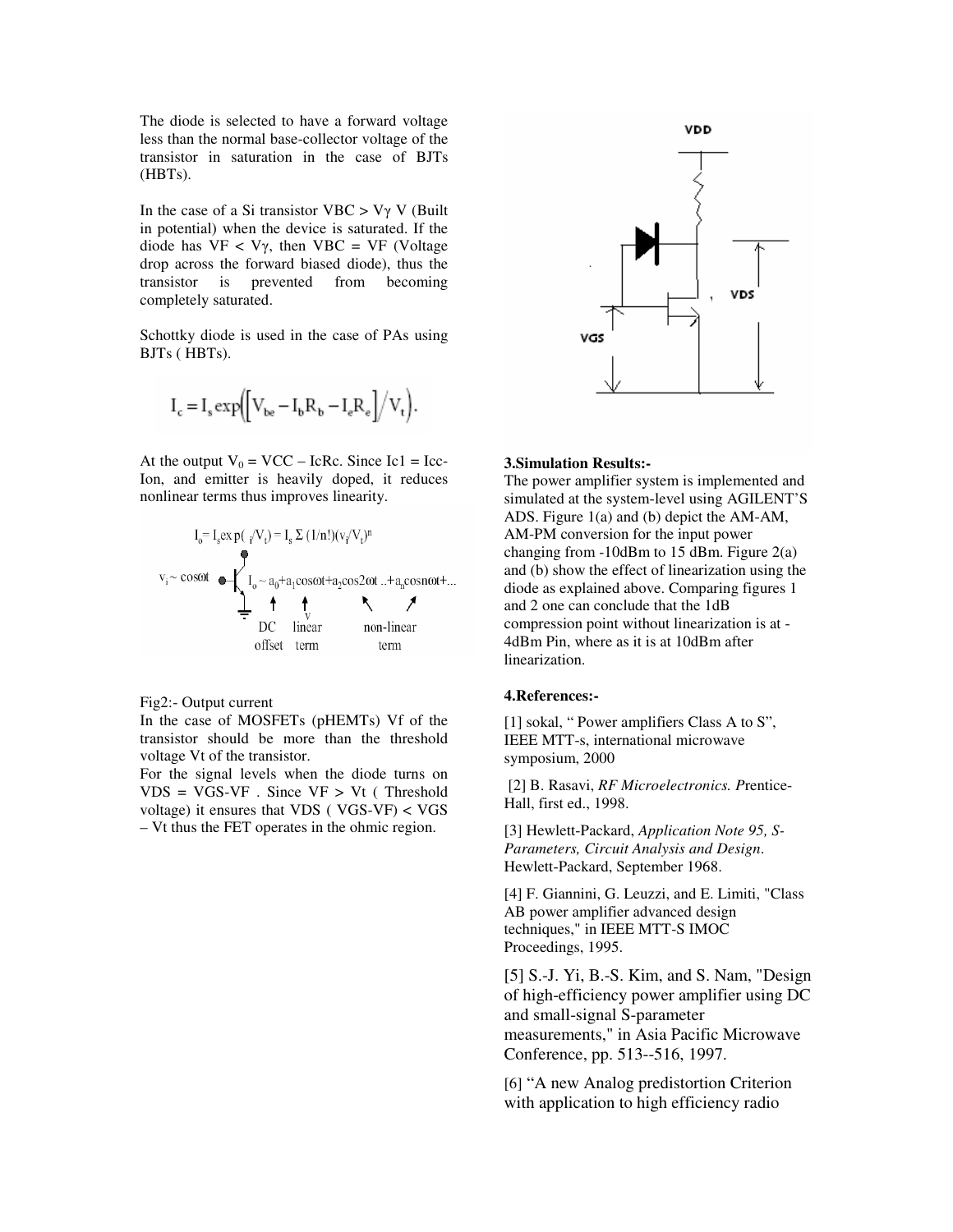The diode is selected to have a forward voltage less than the normal base-collector voltage of the transistor in saturation in the case of BJTs (HBTs).

In the case of a Si transistor VBC  $> V\gamma$  V (Built in potential) when the device is saturated. If the diode has  $VF < V\gamma$ , then  $VBC = VF$  (Voltage drop across the forward biased diode), thus the transistor is prevented from becoming completely saturated.

Schottky diode is used in the case of PAs using BJTs ( HBTs).

$$
I_c = I_s \exp\left(\left[V_{be} - I_b R_b - I_e R_e\right]/V_t\right).
$$

At the output  $V_0 = VCC - IcRc$ . Since Ic1 = Icc-Ion, and emitter is heavily doped, it reduces nonlinear terms thus improves linearity.

$$
I_o = I_s exp(\sqrt{V_t}) = I_s \Sigma (1/n!)(v_f/V_t)^n
$$
  
\n
$$
v_i \sim cos\omega t
$$
  
\n
$$
I_o \sim a_0 + a_1 cos\omega t + a_2 cos2\omega t ... + a_n cosn\omega t + ...
$$
  
\n
$$
I_o \sim a_0 + a_1 cos\omega t + a_2 cos2\omega t ... + a_n cosn\omega t + ...
$$
  
\n
$$
D C \quad linear \quad non-linear \quad norm \quad term
$$

## Fig2:- Output current

In the case of MOSFETs (pHEMTs) Vf of the transistor should be more than the threshold voltage Vt of the transistor.

For the signal levels when the diode turns on  $VDS = VGS - VF$ . Since  $VF > Vt$  (Threshold voltage) it ensures that VDS ( VGS-VF) < VGS – Vt thus the FET operates in the ohmic region.



#### **3.Simulation Results:-**

The power amplifier system is implemented and simulated at the system-level using AGILENT'S ADS. Figure 1(a) and (b) depict the AM-AM, AM-PM conversion for the input power changing from -10dBm to 15 dBm. Figure 2(a) and (b) show the effect of linearization using the diode as explained above. Comparing figures 1 and 2 one can conclude that the 1dB compression point without linearization is at - 4dBm Pin, where as it is at 10dBm after linearization.

#### **4.References:-**

[1] sokal, " Power amplifiers Class A to S", IEEE MTT-s, international microwave symposium, 2000

[2] B. Rasavi, *RF Microelectronics. P*rentice-Hall, first ed., 1998.

[3] Hewlett-Packard, *Application Note 95, S-Parameters, Circuit Analysis and Design*. Hewlett-Packard, September 1968.

[4] F. Giannini, G. Leuzzi, and E. Limiti, "Class AB power amplifier advanced design techniques," in IEEE MTT-S IMOC Proceedings, 1995.

[5] S.-J. Yi, B.-S. Kim, and S. Nam, "Design of high-efficiency power amplifier using DC and small-signal S-parameter measurements," in Asia Pacific Microwave Conference, pp. 513--516, 1997.

[6] "A new Analog predistortion Criterion with application to high efficiency radio